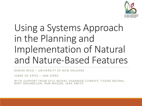

## Using a Systems Approach in the Planning and Implementation of Natural and Nature-Based Features

DENISE REED – UNIVERSITY OF NEW ORLEANS

JURRE DE VRIES – VAN OORD

WITH SUPPORT FROM KYLE MCKAY, SHANNON CUNNIFF, TJEERD BOUMA, BART GRASMEIJER, PAM MASON, JANE SMITH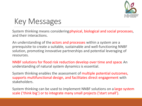

### Key Messages

System thinking means considering physical, biological and social processes, and their interactions.

An understanding of the actors and processes within a system are a prerequisite to create a suitable, sustainable and well-functioning NNBF solution, promoting innovative partnerships and potential leveraging of resources.

NNBF solutions for flood risk reduction develop over time and space. An understanding of natural system dynamics is essential.

System thinking enables the assessment of multiple potential outcomes, supports multifunctional design, and facilitates direct engagement with stakeholders.

System thinking can be used to implement NNBF solutions on a large system scale ('think big') or to integrate many small projects ('start small').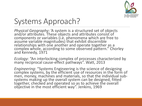

### Systems Approach?

*Physical Geography:* 'A system is a structured set of objects and/or attributes. These objects and attributes consist of components or variables (i.e. phenomena which are free to assume variable magnitudes) that exhibit discernible relationships with one another and operate together as a complex whole, according to some observed pattern." Chorley and Kennedy, 1971

*Ecology*: "An interlocking complex of processes characterized by many reciprocal cause-effect pathways". Watt, 2013

*Engineering*: "Systems Engineering is the science of designing complex systems, by the efficient use of resources in the form of men, money, machines and materials, so that the individual submen, money, machines and materials, so that the individual sub-<br>systems making up the overall system can be designed, fitted together, checked and operated so as to achieve the overall objective in the most efficient way". Jenkins, 1969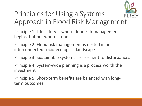

### Principles for Using a Systems Approach in Flood Risk Management

Principle 1: Life safety is where flood risk management begins, but not where it ends

Principle 2: Flood risk management is nested in an interconnected socio-ecological landscape

Principle 3: Sustainable systems are resilient to disturbances

Principle 4: System-wide planning is a process worth the investment

Principle 5: Short-term benefits are balanced with longterm outcomes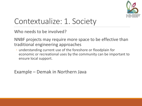

### Contextualize: 1. Society

Who needs to be involved?

NNBF projects may require more space to be effective than traditional engineering approaches

◦ understanding current use of the foreshore or floodplain for economic or recreational uses by the community can be important to ensure local support.

Example – Demak in Northern Java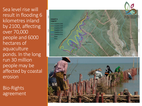Sea level rise will result in flooding 6 kilometres inland by 2100, affecting over 70,000 people and 6000 hectares of aquaculture ponds. In the long run 30 million people may be affected by coastal erosion

Bio-Rights agreement

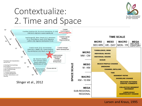### Contextualize: 2. Time and Space



#### Larsen and Kraus, 1995

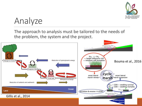

## Analyze

The approach to analysis must be tailored to the needs of the problem, the system and the project.

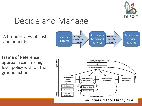

## Decide and Manage

A broader view of costs and benefits

Frame of Reference approach can link high level policy with on the ground action



van Koningsveld and Mulder, 2004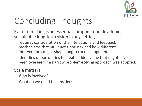

# Concluding Thoughts

System thinking is an essential component in developing sustainable long-term vision in any setting

- requires consideration of the interactions and feedback mechanisms that influence flood risk and how different interventions might shape long-term development.
- identifies opportunities to create added value that might have been overseen if a narrow problem-solving approach was adopted.

### Scale matters

- Who is involved?
- What do we need to consider?